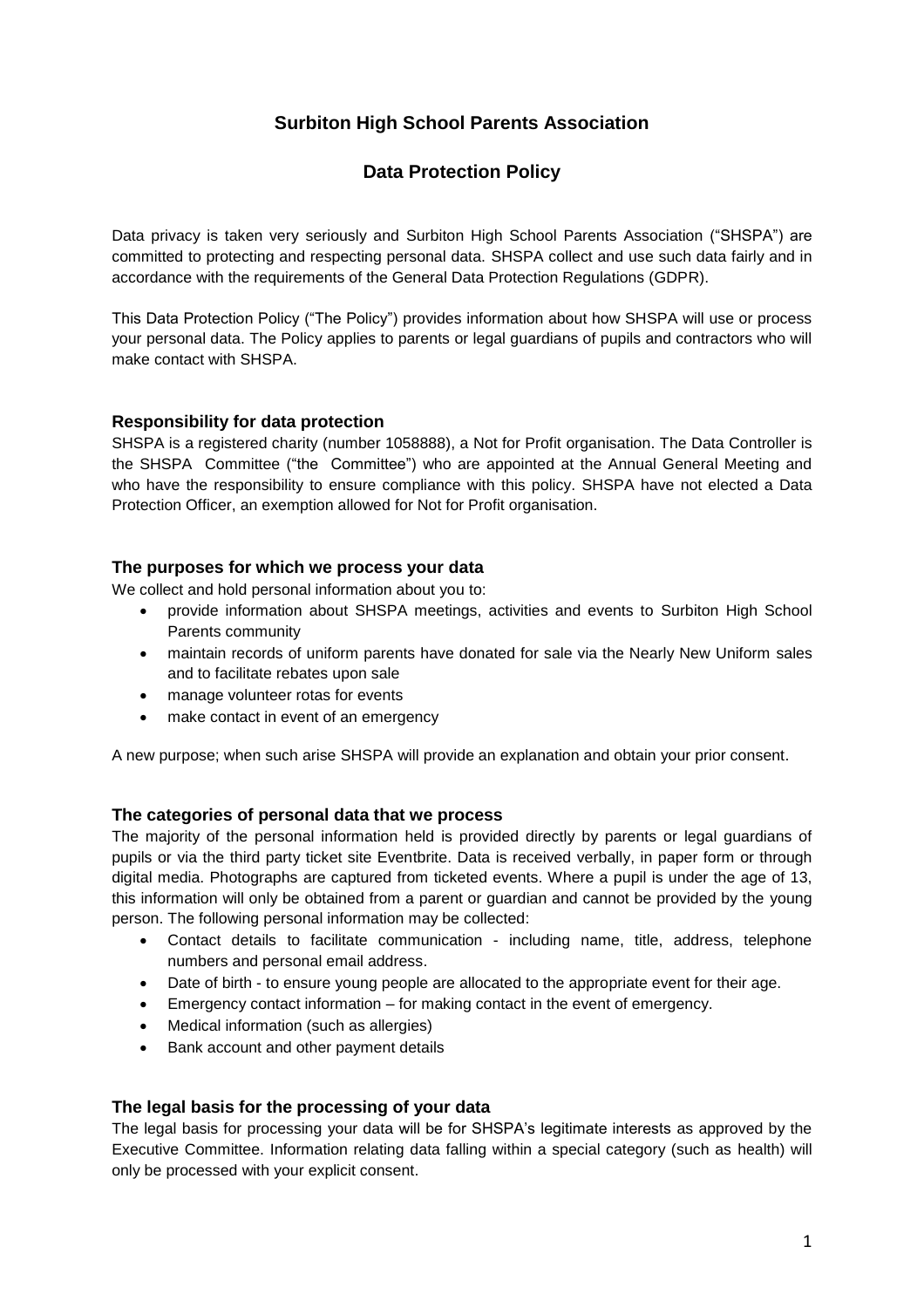# **Surbiton High School Parents Association**

# **Data Protection Policy**

Data privacy is taken very seriously and Surbiton High School Parents Association ("SHSPA") are committed to protecting and respecting personal data. SHSPA collect and use such data fairly and in accordance with the requirements of the General Data Protection Regulations (GDPR).

This Data Protection Policy ("The Policy") provides information about how SHSPA will use or process your personal data. The Policy applies to parents or legal guardians of pupils and contractors who will make contact with SHSPA.

# **Responsibility for data protection**

SHSPA is a registered charity (number 1058888), a Not for Profit organisation. The Data Controller is the SHSPA Committee ("the Committee") who are appointed at the Annual General Meeting and who have the responsibility to ensure compliance with this policy. SHSPA have not elected a Data Protection Officer, an exemption allowed for Not for Profit organisation.

# **The purposes for which we process your data**

We collect and hold personal information about you to:

- provide information about SHSPA meetings, activities and events to Surbiton High School Parents community
- maintain records of uniform parents have donated for sale via the Nearly New Uniform sales and to facilitate rebates upon sale
- manage volunteer rotas for events
- make contact in event of an emergency

A new purpose; when such arise SHSPA will provide an explanation and obtain your prior consent.

# **The categories of personal data that we process**

The majority of the personal information held is provided directly by parents or legal guardians of pupils or via the third party ticket site Eventbrite. Data is received verbally, in paper form or through digital media. Photographs are captured from ticketed events. Where a pupil is under the age of 13, this information will only be obtained from a parent or guardian and cannot be provided by the young person. The following personal information may be collected:

- Contact details to facilitate communication including name, title, address, telephone numbers and personal email address.
- Date of birth to ensure young people are allocated to the appropriate event for their age.
- Emergency contact information for making contact in the event of emergency.
- Medical information (such as allergies)
- Bank account and other payment details

# **The legal basis for the processing of your data**

The legal basis for processing your data will be for SHSPA's legitimate interests as approved by the Executive Committee. Information relating data falling within a special category (such as health) will only be processed with your explicit consent.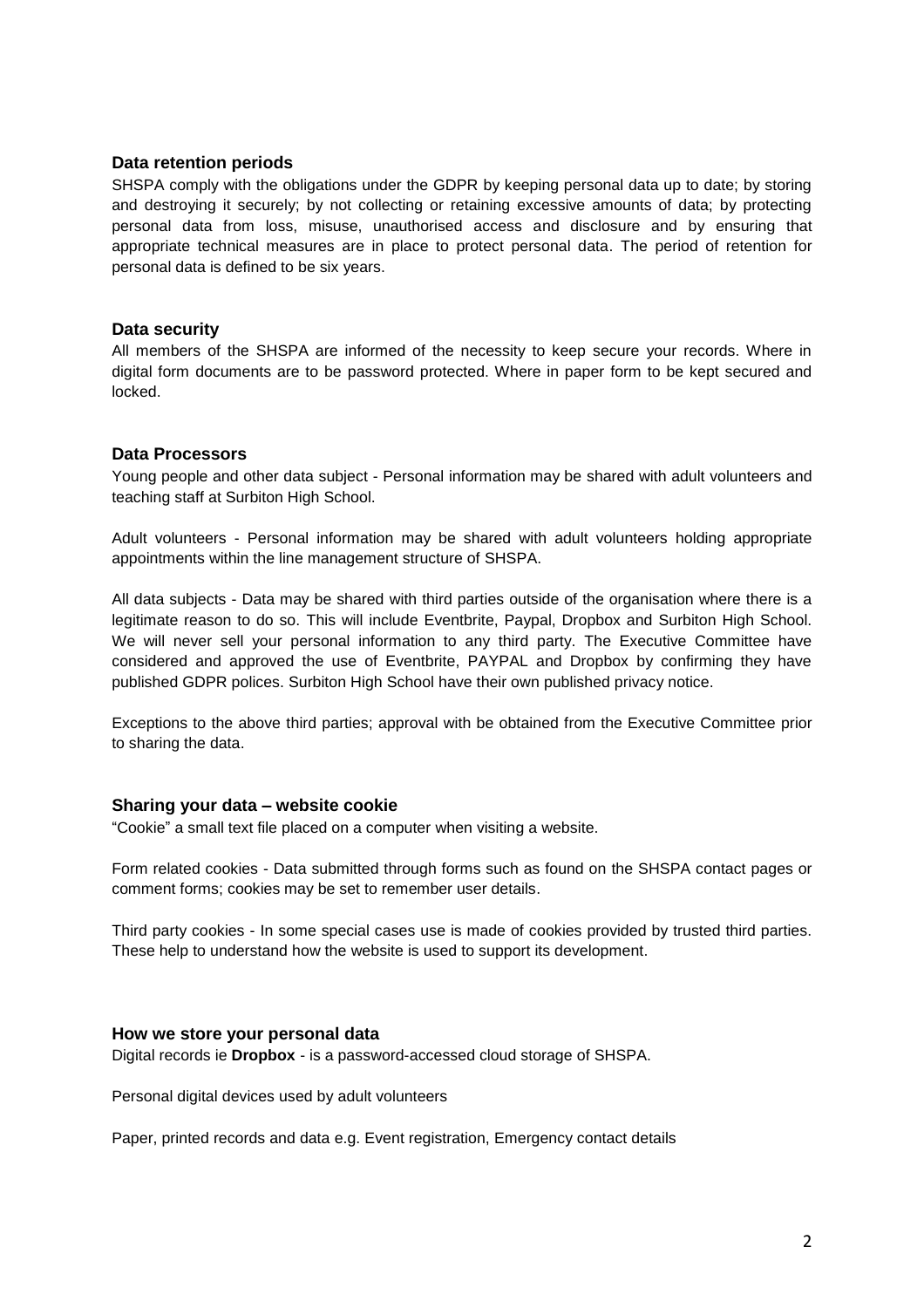#### **Data retention periods**

SHSPA comply with the obligations under the GDPR by keeping personal data up to date; by storing and destroying it securely; by not collecting or retaining excessive amounts of data; by protecting personal data from loss, misuse, unauthorised access and disclosure and by ensuring that appropriate technical measures are in place to protect personal data. The period of retention for personal data is defined to be six years.

#### **Data security**

All members of the SHSPA are informed of the necessity to keep secure your records. Where in digital form documents are to be password protected. Where in paper form to be kept secured and locked.

#### **Data Processors**

Young people and other data subject - Personal information may be shared with adult volunteers and teaching staff at Surbiton High School.

Adult volunteers - Personal information may be shared with adult volunteers holding appropriate appointments within the line management structure of SHSPA.

All data subjects - Data may be shared with third parties outside of the organisation where there is a legitimate reason to do so. This will include Eventbrite, Paypal, Dropbox and Surbiton High School. We will never sell your personal information to any third party. The Executive Committee have considered and approved the use of Eventbrite, PAYPAL and Dropbox by confirming they have published GDPR polices. Surbiton High School have their own published privacy notice.

Exceptions to the above third parties; approval with be obtained from the Executive Committee prior to sharing the data.

## **Sharing your data – website cookie**

"Cookie" a small text file placed on a computer when visiting a website.

Form related cookies - Data submitted through forms such as found on the SHSPA contact pages or comment forms; cookies may be set to remember user details.

Third party cookies - In some special cases use is made of cookies provided by trusted third parties. These help to understand how the website is used to support its development.

#### **How we store your personal data**

Digital records ie **Dropbox** - is a password-accessed cloud storage of SHSPA.

Personal digital devices used by adult volunteers

Paper, printed records and data e.g. Event registration, Emergency contact details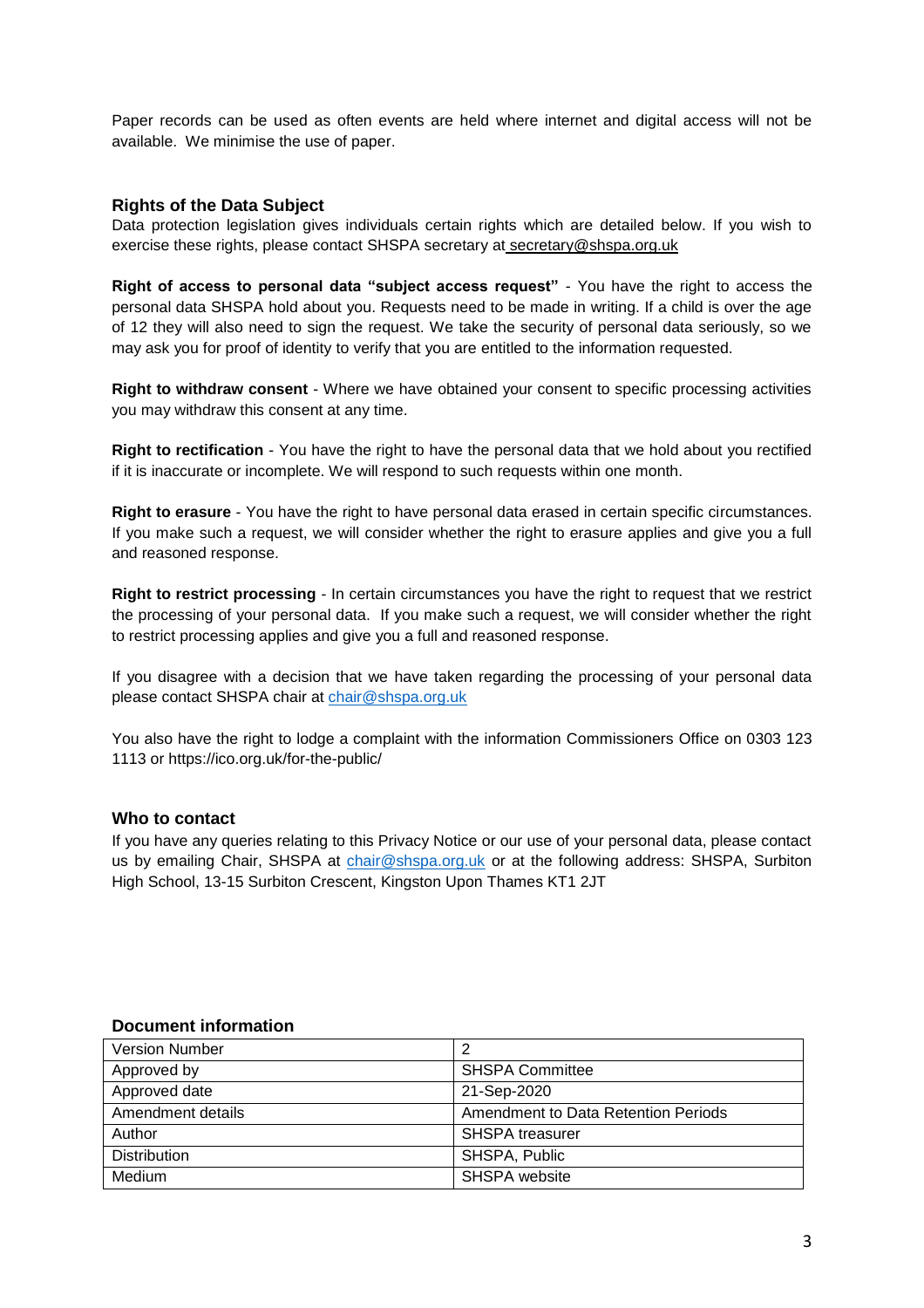Paper records can be used as often events are held where internet and digital access will not be available. We minimise the use of paper.

## **Rights of the Data Subject**

Data protection legislation gives individuals certain rights which are detailed below. If you wish to exercise these rights, please contact SHSPA secretary at secretary@shspa.org.uk

**Right of access to personal data "subject access request"** - You have the right to access the personal data SHSPA hold about you. Requests need to be made in writing. If a child is over the age of 12 they will also need to sign the request. We take the security of personal data seriously, so we may ask you for proof of identity to verify that you are entitled to the information requested.

**Right to withdraw consent** - Where we have obtained your consent to specific processing activities you may withdraw this consent at any time.

**Right to rectification** - You have the right to have the personal data that we hold about you rectified if it is inaccurate or incomplete. We will respond to such requests within one month.

**Right to erasure** - You have the right to have personal data erased in certain specific circumstances. If you make such a request, we will consider whether the right to erasure applies and give you a full and reasoned response.

**Right to restrict processing** - In certain circumstances you have the right to request that we restrict the processing of your personal data. If you make such a request, we will consider whether the right to restrict processing applies and give you a full and reasoned response.

If you disagree with a decision that we have taken regarding the processing of your personal data please contact SHSPA chair at [chair@shspa.org.uk](mailto:chair@shspa.org.uk)

You also have the right to lodge a complaint with the information Commissioners Office on 0303 123 1113 or https://ico.org.uk/for-the-public/

## **Who to contact**

If you have any queries relating to this Privacy Notice or our use of your personal data, please contact us by emailing Chair, SHSPA at [chair@shspa.org.uk](mailto:chair@shspa.org.uk) or at the following address: SHSPA, Surbiton High School, 13-15 Surbiton Crescent, Kingston Upon Thames KT1 2JT

## **Document information**

| <b>Version Number</b> | 2                                   |
|-----------------------|-------------------------------------|
| Approved by           | <b>SHSPA Committee</b>              |
| Approved date         | 21-Sep-2020                         |
| Amendment details     | Amendment to Data Retention Periods |
| Author                | <b>SHSPA treasurer</b>              |
| <b>Distribution</b>   | SHSPA, Public                       |
| Medium                | SHSPA website                       |